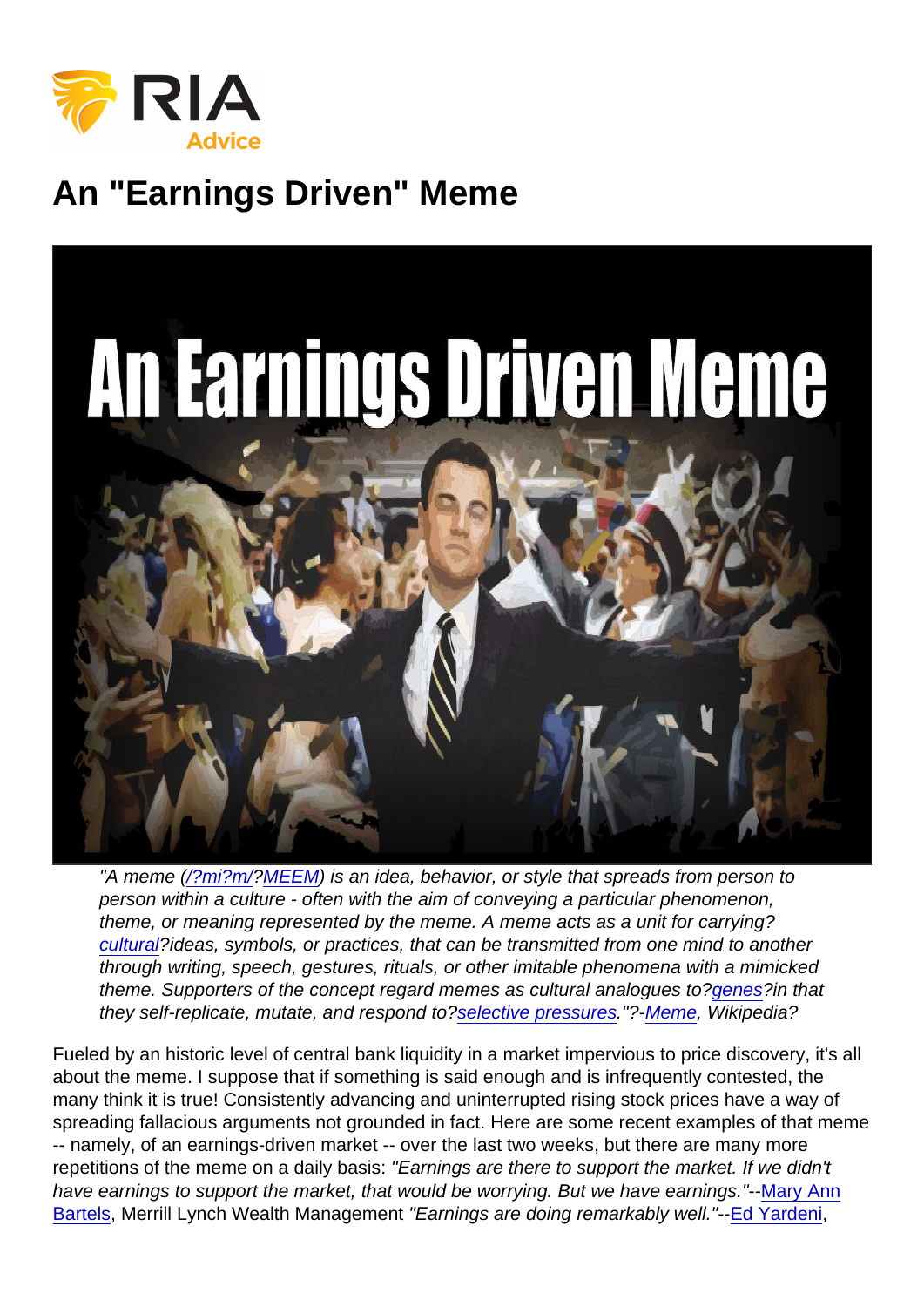## An "Earnings Driven" Meme

"A meme [\(/?mi?m/?](https://en.wikipedia.org/wiki/Help:IPA/English)[MEEM\)](https://en.wikipedia.org/wiki/Help:Pronunciation_respelling_key) is an idea, behavior, or style that spreads from person to person within a culture - often with the aim of conveying a particular phenomenon, theme, or meaning represented by the meme. A meme acts as a unit for carrying? [cultural?](https://en.wikipedia.org/wiki/Culture)ideas, symbols, or practices, that can be transmitted from one mind to another through writing, speech, gestures, rituals, or other imitable phenomena with a mimicked theme. Supporters of the concept regard memes as cultural analogues to?[genes?](https://en.wikipedia.org/wiki/Gene)in that they self-replicate, mutate, and respond to?[selective pressures](https://en.wikipedia.org/wiki/Natural_selection)."?-[Meme](https://en.wikipedia.org/wiki/Meme), Wikipedia?

Fueled by an historic level of central bank liquidity in a market impervious to price discovery, it's all about the meme. I suppose that if something is said enough and is infrequently contested, the many think it is true! Consistently advancing and uninterrupted rising stock prices have a way of spreading fallacious arguments not grounded in fact. Here are some recent examples of that meme -- namely, of an earnings-driven market -- over the last two weeks, but there are many more repetitions of the meme on a daily basis: "Earnings are there to support the market. If we didn't have earnings to support the market, that would be worrying. But we have earnings."-[-Mary Ann](https://www.cnbc.com/2017/10/19/jeff-saut-the-bull-market-still-has-up-to-another-9-years-left.html) [Bartels](https://www.cnbc.com/2017/10/19/jeff-saut-the-bull-market-still-has-up-to-another-9-years-left.html), Merrill Lynch Wealth Management "Earnings are doing remarkably well."--[Ed Yardeni](https://www.cnbc.com/2017/07/28/market-melt-up-could-push-stocks-to-new-records-yardeni-says.html),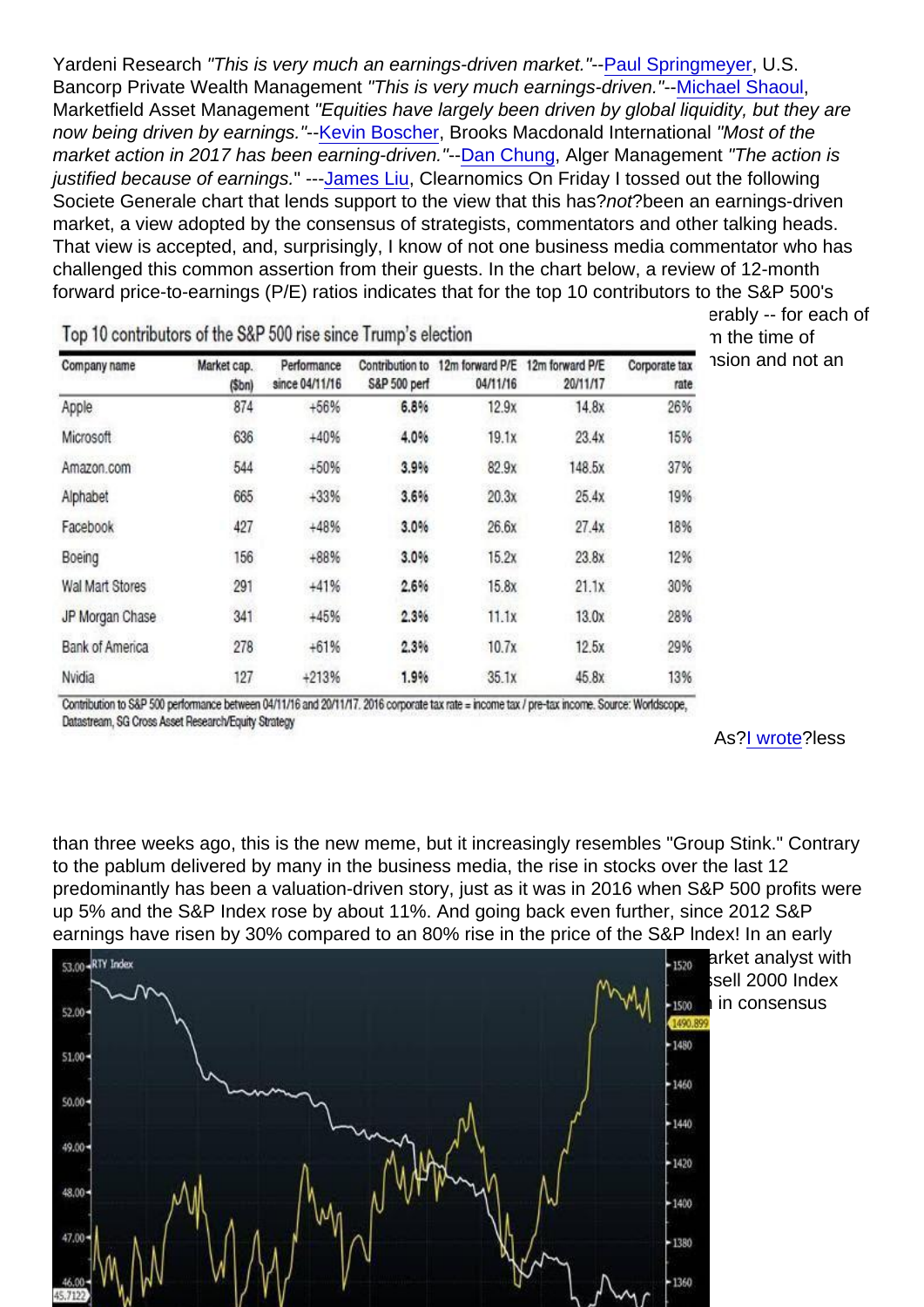Yardeni Research "This is very much an earnings-driven market."-[-Paul Springmeyer,](https://www.cnbc.com/2017/07/21/us-stocks-ge-drops-earnings-season-oil.html) U.S. Bancorp Private Wealth Management "This is very much earnings-driven."--[Michael Shaoul](https://www.cnbc.com/2017/10/24/us-stock-futures-earnings-fed-chair-position-tax-reform-on-wall-street-agenda.html), Marketfield Asset Management "Equities have largely been driven by global liquidity, but they are now being driven by earnings."--[Kevin Boscher](https://www.cnbc.com/video/2017/08/22/equities-driven-more-by-earnings-than-liquidity-pro.html), Brooks Macdonald International "Most of the market action in 2017 has been earning-driven."-[-Dan Chung,](https://www.cnbc.com/video/2017/10/20/alger-ceo-on-performance-of-us-stock-market.html) Alger Management "The action is justified because of earnings." --[-James Liu,](https://www.cnbc.com/video/2017/10/25/james-liu-earnings-driven-rally-is-justified-but-whats-next.html) Clearnomics On Friday I tossed out the following Societe Generale chart that lends support to the view that this has?not?been an earnings-driven market, a view adopted by the consensus of strategists, commentators and other talking heads. That view is accepted, and, surprisingly, I know of not one business media commentator who has challenged this common assertion from their guests. In the chart below, a review of 12-month forward price-to-earnings (P/E) ratios indicates that for the top 10 contributors to the S&P 500's advance, the one-year forward P/E has increased -- in some cases quite considerably -- for each of [the 10 constituents since November 2016. It should be abundantly clear that from](https://realinvestmentadvice.com/wp-content/uploads/2017/11/Kass-Chart1-EarningsMeme-112817.jpg) the time of Trump's election a year ago we clearly have been on a path of a valuation expansion and not an earnings-driven market:

As[?I wrote](https://realmoneypro.thestreet.com/dougs-daily-diary?published[value][date]=2017-09-15#the-scent-of-gr-20170915)?less

than three weeks ago, this is the new meme, but it increasingly resembles "Group Stink." Contrary to the pablum delivered by many in the business media, the rise in stocks over the last 12 predominantly has been a valuation-driven story, just as it was in 2016 when S&P 500 profits were up 5% and the S&P Index rose by about 11%. And going back even further, since 2012 S&P earnings have risen by 30% compared to an 80% rise in the price of the S&P lndex! In an early [November column I provided two charts from my friend Peter Boockvar, chief ma](https://realinvestmentadvice.com/wp-content/uploads/2017/11/Kass-Chart2-EarningsMeme-112817.jpg)rket analyst with The Lindsey Group, as some proof of my point. The first one shows that the Russell 2000 Index has risen by about 25% since the Trump election despite an 8% to 9% reduction in consensus 2017 Russell Index earnings expectations.